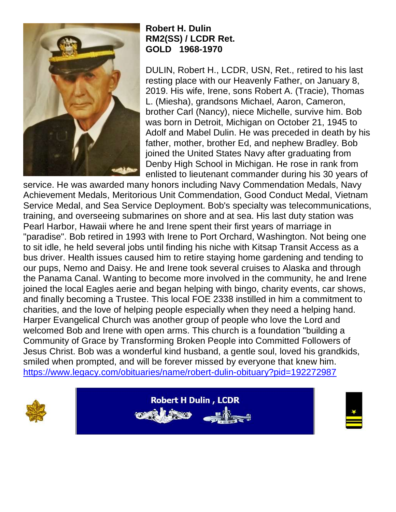

## **Robert H. Dulin RM2(SS) / LCDR Ret. GOLD 1968-1970**

DULIN, Robert H., LCDR, USN, Ret., retired to his last resting place with our Heavenly Father, on January 8, 2019. His wife, Irene, sons Robert A. (Tracie), Thomas L. (Miesha), grandsons Michael, Aaron, Cameron, brother Carl (Nancy), niece Michelle, survive him. Bob was born in Detroit, Michigan on October 21, 1945 to Adolf and Mabel Dulin. He was preceded in death by his father, mother, brother Ed, and nephew Bradley. Bob joined the United States Navy after graduating from Denby High School in Michigan. He rose in rank from enlisted to lieutenant commander during his 30 years of

service. He was awarded many honors including Navy Commendation Medals, Navy Achievement Medals, Meritorious Unit Commendation, Good Conduct Medal, Vietnam Service Medal, and Sea Service Deployment. Bob's specialty was telecommunications, training, and overseeing submarines on shore and at sea. His last duty station was Pearl Harbor, Hawaii where he and Irene spent their first years of marriage in "paradise". Bob retired in 1993 with Irene to Port Orchard, Washington. Not being one to sit idle, he held several jobs until finding his niche with Kitsap Transit Access as a bus driver. Health issues caused him to retire staying home gardening and tending to our pups, Nemo and Daisy. He and Irene took several cruises to Alaska and through the Panama Canal. Wanting to become more involved in the community, he and Irene joined the local Eagles aerie and began helping with bingo, charity events, car shows, and finally becoming a Trustee. This local FOE 2338 instilled in him a commitment to charities, and the love of helping people especially when they need a helping hand. Harper Evangelical Church was another group of people who love the Lord and welcomed Bob and Irene with open arms. This church is a foundation "building a Community of Grace by Transforming Broken People into Committed Followers of Jesus Christ. Bob was a wonderful kind husband, a gentle soul, loved his grandkids, smiled when prompted, and will be forever missed by everyone that knew him. <https://www.legacy.com/obituaries/name/robert-dulin-obituary?pid=192272987>